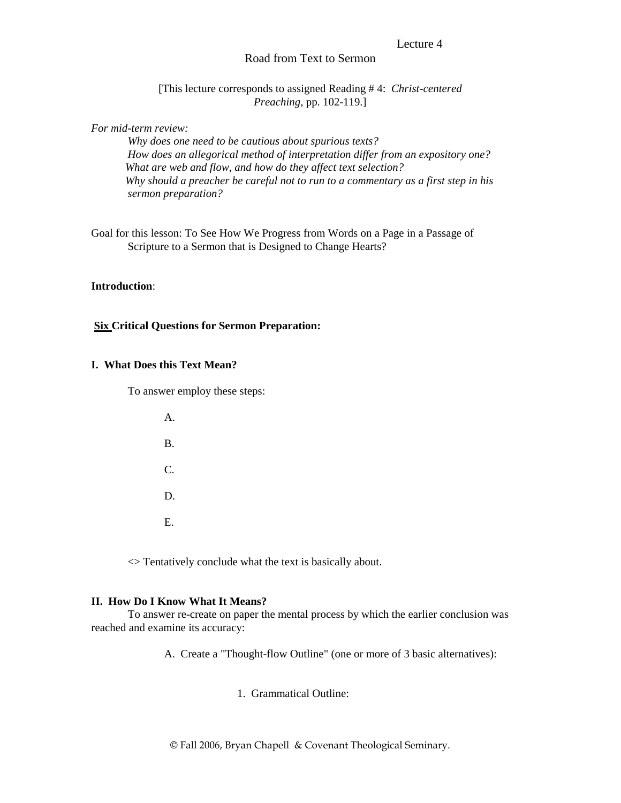#### Lecture 4

## Road from Text to Sermon

[This lecture corresponds to assigned Reading # 4: *Christ-centered Preaching*, pp. 102-119.]

### *For mid-term review:*

 *Why does one need to be cautious about spurious texts? How does an allegorical method of interpretation differ from an expository one? What are web and flow, and how do they affect text selection? Why should a preacher be careful not to run to a commentary as a first step in his sermon preparation?* 

Goal for this lesson: To See How We Progress from Words on a Page in a Passage of Scripture to a Sermon that is Designed to Change Hearts?

## **Introduction**:

## **Six Critical Questions for Sermon Preparation:**

#### **I. What Does this Text Mean?**

To answer employ these steps:

| A.        |
|-----------|
| <b>B.</b> |
| C.        |
| D.        |
| Ε.        |

 $\leq$  Tentatively conclude what the text is basically about.

#### **II. How Do I Know What It Means?**

To answer re-create on paper the mental process by which the earlier conclusion was reached and examine its accuracy:

A. Create a "Thought-flow Outline" (one or more of 3 basic alternatives):

1. Grammatical Outline:

© Fall 2006, Bryan Chapell & Covenant Theological Seminary.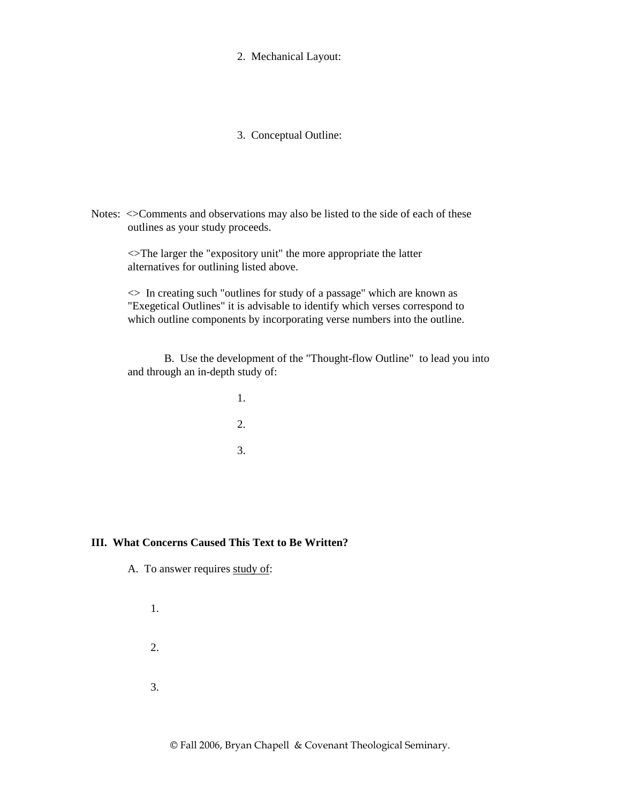2. Mechanical Layout:

3. Conceptual Outline:

Notes:  $\leq$ Comments and observations may also be listed to the side of each of these outlines as your study proceeds.

 <>The larger the "expository unit" the more appropriate the latter alternatives for outlining listed above.

 <> In creating such "outlines for study of a passage" which are known as "Exegetical Outlines" it is advisable to identify which verses correspond to which outline components by incorporating verse numbers into the outline.

 B. Use the development of the "Thought-flow Outline" to lead you into and through an in-depth study of:

 1. 2. 3.

# **III. What Concerns Caused This Text to Be Written?**

A. To answer requires study of:

 1. 2. 3.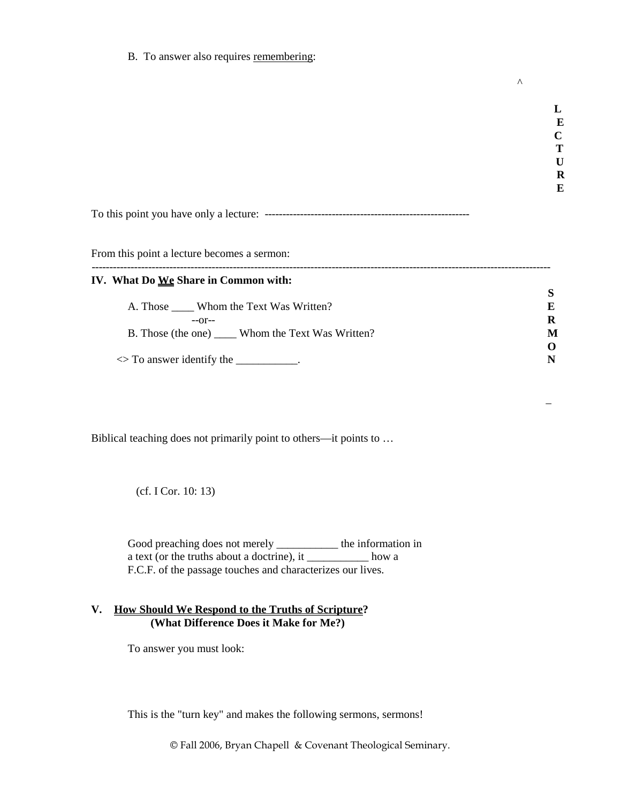B. To answer also requires remembering:

**E** E **C C T U R E**  To this point you have only a lecture: ----------------------------------------------------------

**L** 

 $\Lambda$ 

From this point a lecture becomes a sermon:

| IV. What Do <u>We</u> Share in Common with:          |          |  |
|------------------------------------------------------|----------|--|
|                                                      |          |  |
| A. Those Whom the Text Was Written?                  | E        |  |
| $-0r-$                                               | R        |  |
| B. Those (the one) ______ Whom the Text Was Written? | M        |  |
|                                                      | $\Omega$ |  |
| $\Diamond$ To answer identify the __________.        |          |  |

 $\mathcal{L} = \{ \mathcal{L} \in \mathcal{L} \mid \mathcal{L} \in \mathcal{L} \}$  . The contract of  $\mathcal{L} = \{ \mathcal{L} \mid \mathcal{L} \in \mathcal{L} \}$ 

Biblical teaching does not primarily point to others—it points to …

(cf. I Cor. 10: 13)

 Good preaching does not merely \_\_\_\_\_\_\_\_\_\_\_ the information in a text (or the truths about a doctrine), it  $\frac{1}{\sqrt{2\pi}}$  how a F.C.F. of the passage touches and characterizes our lives.

# **V. How Should We Respond to the Truths of Scripture? (What Difference Does it Make for Me?)**

To answer you must look:

This is the "turn key" and makes the following sermons, sermons!

© Fall 2006, Bryan Chapell & Covenant Theological Seminary.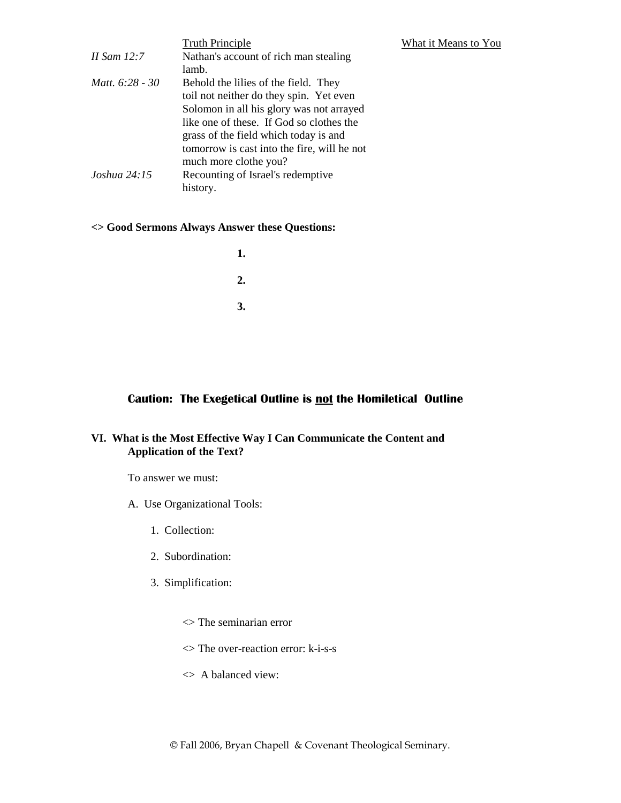|                 | <b>Truth Principle</b>                      |
|-----------------|---------------------------------------------|
| II Sam 12:7     | Nathan's account of rich man stealing       |
|                 | lamb.                                       |
| Matt. 6:28 - 30 | Behold the lilies of the field. They        |
|                 | toil not neither do they spin. Yet even     |
|                 | Solomon in all his glory was not arrayed    |
|                 | like one of these. If God so clothes the    |
|                 | grass of the field which today is and       |
|                 | tomorrow is cast into the fire, will he not |
|                 | much more clothe you?                       |
| Joshua 24:15    | Recounting of Israel's redemptive           |
|                 | history.                                    |

### **<> Good Sermons Always Answer these Questions:**

**1. 1. 2. 2. 3. 3.** 

# **Caution: The Exegetical Outline is not the Homiletical Outline**

**What it Means to You** 

# **VI. What is the Most Effective Way I Can Communicate the Content and Application of the Text?**

To answer we must:

- A. Use Organizational Tools:
	- 1. Collection:
	- 2. Subordination:
	- 3. Simplification:
		- <> The seminarian error
		- <> The over-reaction error: k-i-s-s
		- <> A balanced view: